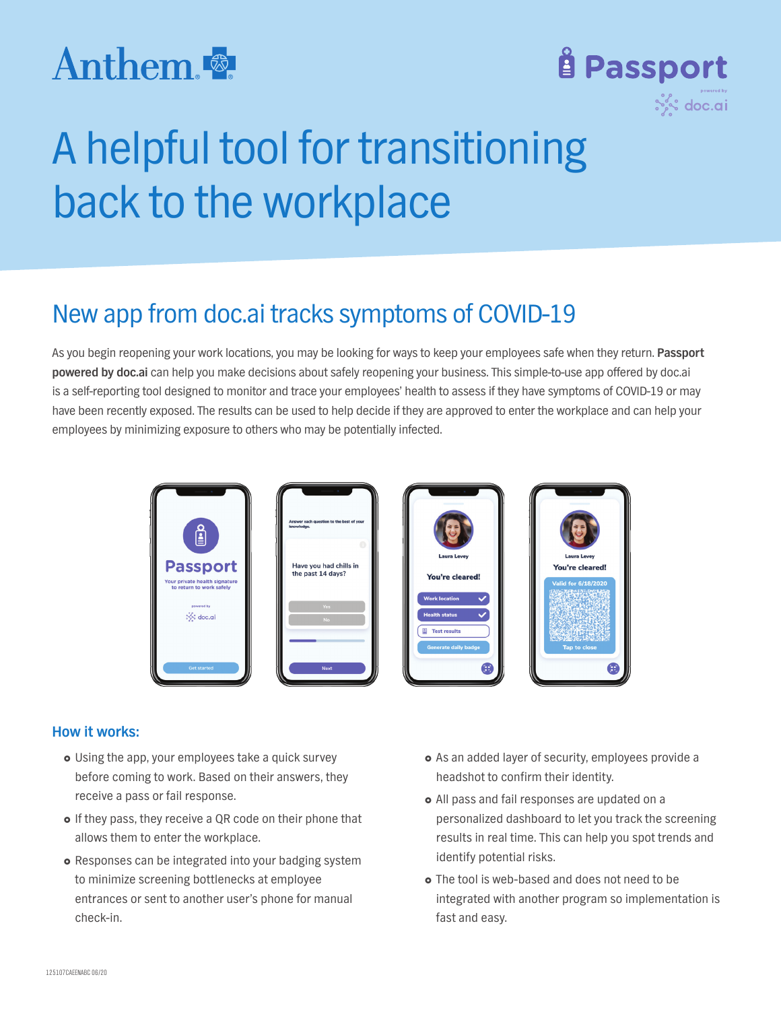# Anthem.



# A helpful tool for transitioning back to the workplace

## New app from doc.ai tracks symptoms of COVID-19

As you begin reopening your work locations, you may be looking for ways to keep your employees safe when they return. **Passport powered by doc.ai** can help you make decisions about safely reopening your business. This simple-to-use app offered by doc.ai is a self-reporting tool designed to monitor and trace your employees' health to assess if they have symptoms of COVID-19 or may have been recently exposed. The results can be used to help decide if they are approved to enter the workplace and can help your employees by minimizing exposure to others who may be potentially infected.

| $\overline{\phantom{a}}$<br>ु<br><b>Passport</b>                                                                 | $\overline{\phantom{a}}$<br>Answer each question to the best of your<br>knowledge.<br>Have you had chills in<br>the past 14 days? | $\alpha$<br><b>Laura Levey</b><br>You're cleared!                                                                                             | <b>Laura Levey</b><br>You're cleared!                  |
|------------------------------------------------------------------------------------------------------------------|-----------------------------------------------------------------------------------------------------------------------------------|-----------------------------------------------------------------------------------------------------------------------------------------------|--------------------------------------------------------|
| Your private health signature<br>to return to work safely<br>powered by<br>$\frac{1}{2}$ s doc.ai<br>Get started | Yes<br><b>No</b><br><b>Next</b>                                                                                                   | <b>Work location</b><br>$\checkmark$<br><b>Health status</b><br>$\checkmark$<br><sup>3</sup> Test results<br><b>Generate daily badge</b><br>Œ | <b>Valid for 6/18/2020</b><br><b>Tap to close</b><br>Æ |

### **How it works:**

- � Using the app, your employees take a quick survey before coming to work. Based on their answers, they receive a pass or fail response.
- � If they pass, they receive a QR code on their phone that allows them to enter the workplace.
- � Responses can be integrated into your badging system to minimize screening bottlenecks at employee entrances or sent to another user's phone for manual check-in.
- � As an added layer of security, employees provide a headshot to confirm their identity.
- � All pass and fail responses are updated on a personalized dashboard to let you track the screening results in real time. This can help you spot trends and identify potential risks.
- � The tool is web-based and does not need to be integrated with another program so implementation is fast and easy.